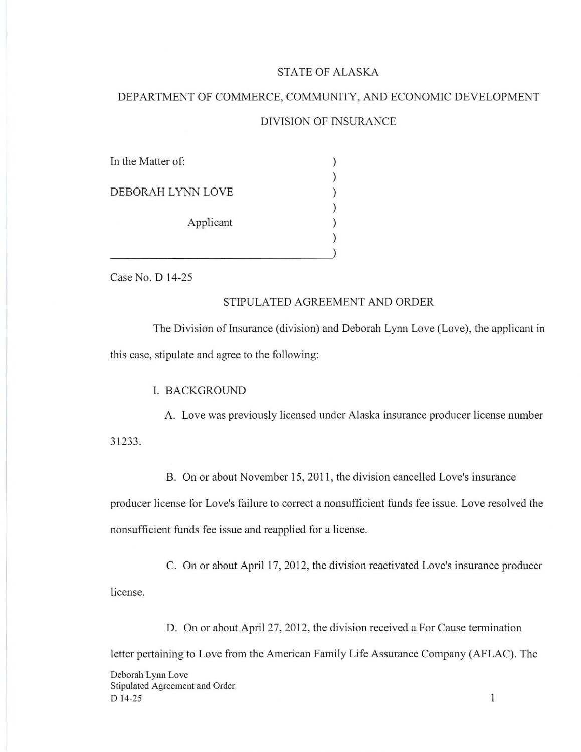## STATE OF ALASKA

# DEPARTMENT OF COMMERCE, COMMUNITY, AND ECONOMIC DEVELOPMENT DIVISION OF INSURANCE

| In the Matter of: |           |  |
|-------------------|-----------|--|
| DEBORAH LYNN LOVE |           |  |
|                   |           |  |
|                   | Applicant |  |
|                   |           |  |
|                   |           |  |

Case No. D 14-25

#### STIPULATED AGREEMENT AND ORDER

The Division of Insurance (division) and Deborah Lynn Love (Love), the applicant in this case, stipulate and agree to the following:

I. BACKGROUND

A. Love was previously licensed under Alaska insurance producer license number 31233.

B. On or about November 15, 2011 , the division cancelled Love's insurance producer license for Love's failure to correct a nonsufficient funds fee issue. Love resolved the

nonsufficient funds fee issue and reapplied for a license.

C. On or about April 17, 2012, the division reactivated Love's insurance producer license.

D. On or about April 27, 2012, the division received a For Cause termination letter pertaining to Love from the American Family Life Assurance Company (AFLAC). The

Deborah Lynn Love Stipulated Agreement and Order D 14-25

 $\mathbf{1}$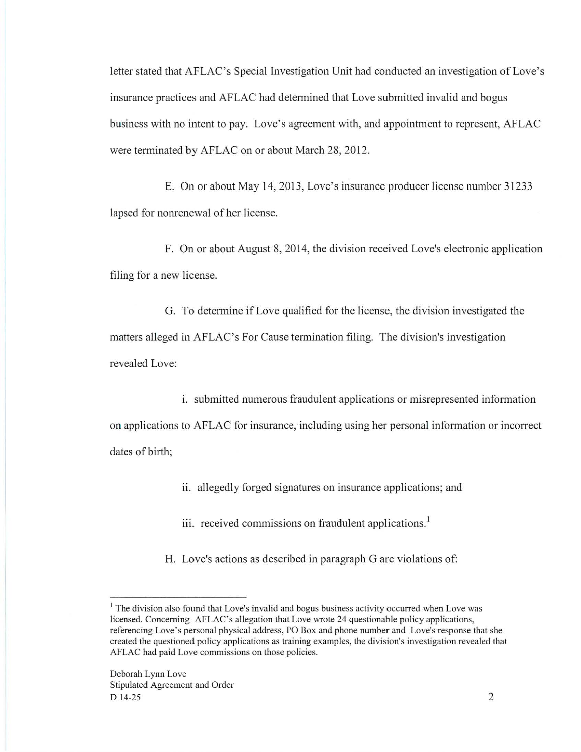letter stated that AFLAC's Special Investigation Unit had conducted an investigation of Love's insurance practices and AFLAC had determined that Love submitted invalid and bogus business with no intent to pay. Love's agreement with, and appointment to represent, AFLAC were terminated by AFLAC on or about March 28, 2012.

E. On or about May 14, 2013, Love's insurance producer license number 31233 lapsed for nonrenewal of her license.

F. On or about August 8, 2014, the division received Love's electronic application filing for a new license.

G. To determine if Love qualified for the license, the division investigated the matters alleged in AFLAC's For Cause termination filing. The division's investigation revealed Love:

i. submitted numerous fraudulent applications or misrepresented information on applications to AFLAC for insurance; including using her personal information or incorrect dates of birth;

ii. allegedly forged signatures on insurance applications; and

iii. received commissions on fraudulent applications.<sup>1</sup>

H. Love's actions as described in paragraph G are violations of:

<sup>&</sup>lt;sup>1</sup> The division also found that Love's invalid and bogus business activity occurred when Love was licensed. Concerning AFLAC's allegation that Love wrote 24 questionable policy applications, referencing Love's personal physical address, PO Box and phone number and Love's response that she created the questioned policy applications as training examples, the division's investigation revealed that AFLAC had paid Love commissions on those policies.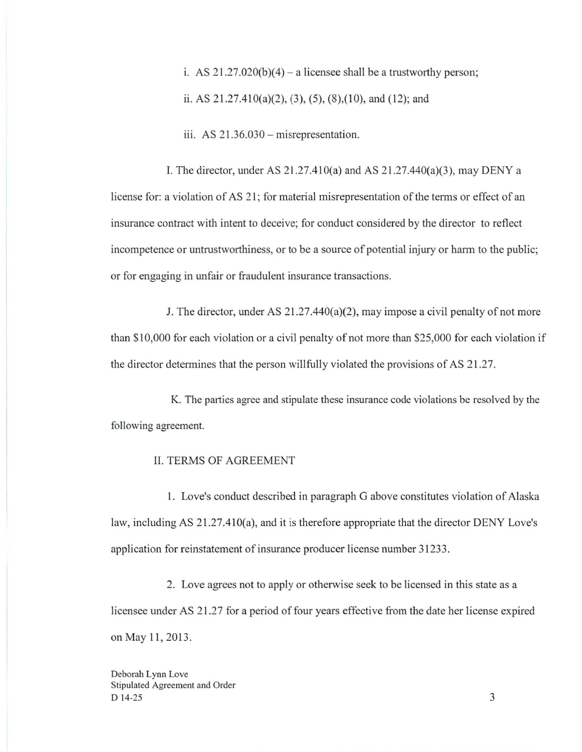i. AS  $21.27.020(b)(4)$  – a licensee shall be a trustworthy person; ii. AS  $21.27.410(a)(2)$ ,  $(3)$ ,  $(5)$ ,  $(8)$ ,  $(10)$ , and  $(12)$ ; and

 $111.$  AS  $21.36.030 -$  misrepresentation.

I. The director, under AS 21.27.410(a) and AS 21.27.440(a)(3), may DENY a license for: a violation of AS 21 ; for material misrepresentation of the terms or effect of an insurance contract with intent to deceive; for conduct considered by the director to reflect incompetence or untrustworthiness, or to be a source of potential injury or harm to the public; or for engaging in unfair or fraudulent insurance transactions.

J. The director, under AS 21.27.440(a)(2), may impose a civil penalty of not more than \$ 10,000 for each violation or a civil penalty of not more than \$25,000 for each violation if the director determines that the person willfully violated the provisions of AS 21.27.

K. The parties agree and stipulate these insurance code violations be resolved by the following agreement.

## II. TERMS OF AGREEMENT

I. Love's conduct described in paragraph G above constitutes violation of Alaska law, including AS 21.27.410(a), and it is therefore appropriate that the director DENY Love's application for reinstatement of insurance producer license number 31233.

2. Love agrees not to apply or otherwise seek to be licensed in this state as a licensee under AS 21.27 for a period of four years effective from the date her license expired on May 11, 2013.

Deborah Lynn Love Stipulated Agreement and Order  $D$  14-25 3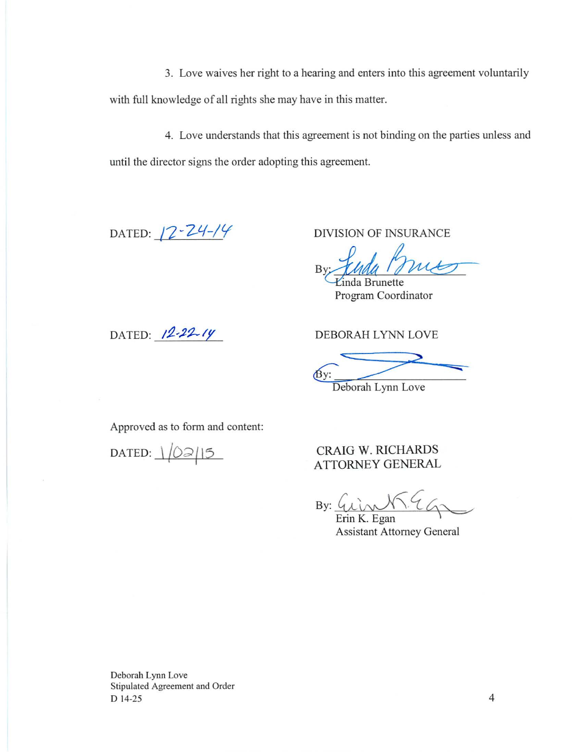3. Love waives her right to a hearing and enters into this agreement voluntarily with full knowledge of all rights she may have in this matter.

4. Love understands that this agreement is not binding on the parties unless and until the director signs the order adopting this agreement.

DATED: **12-24-14** 

DIVISION OF INSURANCE

NSURANCE<br>Museum<br>ette<br>pordinator

*Einda Brunette* Program Coordinator

DATED:  $12 - 22 - 14$ 

DEBORAH LYNN LOVE

By: Deborah Lynn Love

Approved as to form and content:

DATED:  $1/02/15$ 

CRAIG W. RICHARDS ATTORNEY GENERAL

 $By:$ 

Erin K. Egan \ Assistant Attorney General

Deborah Lynn Love Stipulated Agreement and Order D 14-25